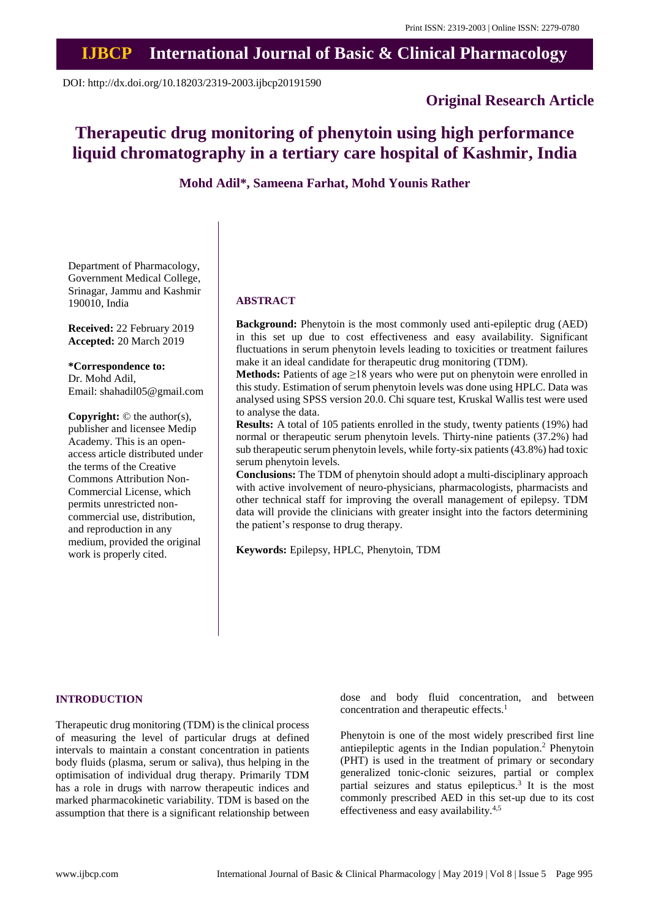# **IJBCP International Journal of Basic & Clinical Pharmacology**

DOI: http://dx.doi.org/10.18203/2319-2003.ijbcp20191590

# **Original Research Article**

# **Therapeutic drug monitoring of phenytoin using high performance liquid chromatography in a tertiary care hospital of Kashmir, India**

**Mohd Adil\*, Sameena Farhat, Mohd Younis Rather**

Department of Pharmacology, Government Medical College, Srinagar, Jammu and Kashmir 190010, India

**Received:** 22 February 2019 **Accepted:** 20 March 2019

**\*Correspondence to:** Dr. Mohd Adil, Email: shahadil05@gmail.com

**Copyright:** © the author(s), publisher and licensee Medip Academy. This is an openaccess article distributed under the terms of the Creative Commons Attribution Non-Commercial License, which permits unrestricted noncommercial use, distribution, and reproduction in any medium, provided the original work is properly cited.

## **ABSTRACT**

**Background:** Phenytoin is the most commonly used anti-epileptic drug (AED) in this set up due to cost effectiveness and easy availability. Significant fluctuations in serum phenytoin levels leading to toxicities or treatment failures make it an ideal candidate for therapeutic drug monitoring (TDM).

Methods: Patients of age ≥18 years who were put on phenytoin were enrolled in this study. Estimation of serum phenytoin levels was done using HPLC. Data was analysed using SPSS version 20.0. Chi square test, Kruskal Wallis test were used to analyse the data.

**Results:** A total of 105 patients enrolled in the study, twenty patients (19%) had normal or therapeutic serum phenytoin levels. Thirty-nine patients (37.2%) had sub therapeutic serum phenytoin levels, while forty-six patients(43.8%) had toxic serum phenytoin levels.

**Conclusions:** The TDM of phenytoin should adopt a multi-disciplinary approach with active involvement of neuro-physicians, pharmacologists, pharmacists and other technical staff for improving the overall management of epilepsy. TDM data will provide the clinicians with greater insight into the factors determining the patient's response to drug therapy.

**Keywords:** Epilepsy, HPLC, Phenytoin, TDM

# **INTRODUCTION**

Therapeutic drug monitoring (TDM) is the clinical process of measuring the level of particular drugs at defined intervals to maintain a constant concentration in patients body fluids (plasma, serum or saliva), thus helping in the optimisation of individual drug therapy. Primarily TDM has a role in drugs with narrow therapeutic indices and marked pharmacokinetic variability. TDM is based on the assumption that there is a significant relationship between dose and body fluid concentration, and between concentration and therapeutic effects.<sup>1</sup>

Phenytoin is one of the most widely prescribed first line antiepileptic agents in the Indian population.<sup>2</sup> Phenytoin (PHT) is used in the treatment of primary or secondary generalized tonic-clonic seizures, partial or complex partial seizures and status epilepticus.<sup>3</sup> It is the most commonly prescribed AED in this set-up due to its cost effectiveness and easy availability.4,5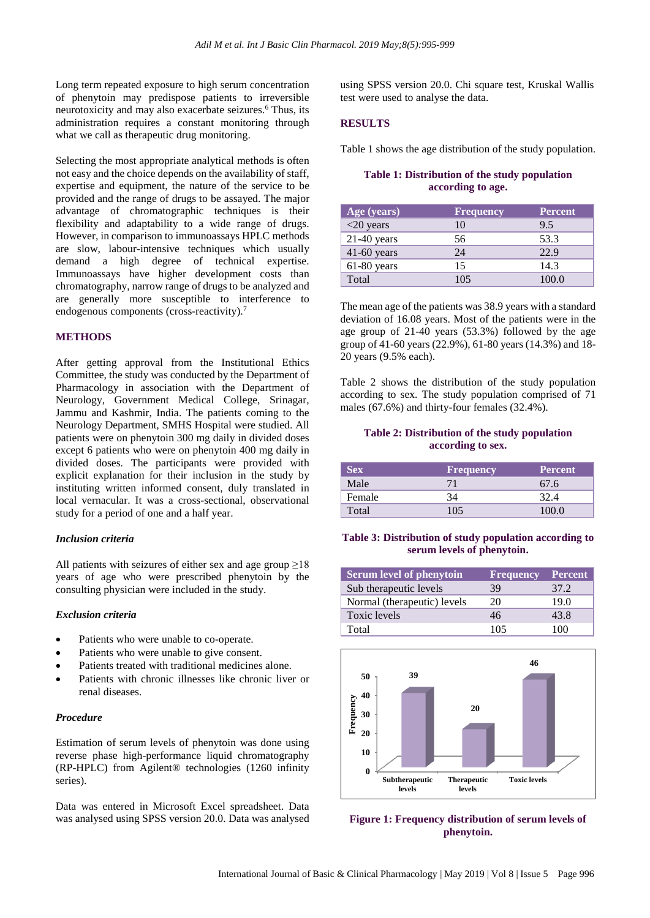Long term repeated exposure to high serum concentration of phenytoin may predispose patients to irreversible neurotoxicity and may also exacerbate seizures.<sup>6</sup> Thus, its administration requires a constant monitoring through what we call as therapeutic drug monitoring.

Selecting the most appropriate analytical methods is often not easy and the choice depends on the availability of staff, expertise and equipment, the nature of the service to be provided and the range of drugs to be assayed. The major advantage of chromatographic techniques is their flexibility and adaptability to a wide range of drugs. However, in comparison to immunoassays HPLC methods are slow, labour-intensive techniques which usually demand a high degree of technical expertise. Immunoassays have higher development costs than chromatography, narrow range of drugs to be analyzed and are generally more susceptible to interference to endogenous components (cross-reactivity).<sup>7</sup>

#### **METHODS**

After getting approval from the Institutional Ethics Committee, the study was conducted by the Department of Pharmacology in association with the Department of Neurology, Government Medical College, Srinagar, Jammu and Kashmir, India. The patients coming to the Neurology Department, SMHS Hospital were studied. All patients were on phenytoin 300 mg daily in divided doses except 6 patients who were on phenytoin 400 mg daily in divided doses. The participants were provided with explicit explanation for their inclusion in the study by instituting written informed consent, duly translated in local vernacular. It was a cross-sectional, observational study for a period of one and a half year.

#### *Inclusion criteria*

All patients with seizures of either sex and age group  $\geq$ 18 years of age who were prescribed phenytoin by the consulting physician were included in the study.

# *Exclusion criteria*

- Patients who were unable to co-operate.
- Patients who were unable to give consent.
- Patients treated with traditional medicines alone.
- Patients with chronic illnesses like chronic liver or renal diseases.

#### *Procedure*

Estimation of serum levels of phenytoin was done using reverse phase high-performance liquid chromatography (RP-HPLC) from Agilent® technologies (1260 infinity series).

Data was entered in Microsoft Excel spreadsheet. Data was analysed using SPSS version 20.0. Data was analysed using SPSS version 20.0. Chi square test, Kruskal Wallis test were used to analyse the data.

#### **RESULTS**

Table 1 shows the age distribution of the study population.

# **Table 1: Distribution of the study population according to age.**

| Age (years)   | <b>Frequency</b> | <b>Percent</b> |
|---------------|------------------|----------------|
| $<$ 20 years  | 10               | 9.5            |
| $21-40$ years | 56               | 53.3           |
| $41-60$ years | 24               | 22.9           |
| $61-80$ years | 15               | 14.3           |
| Total         | 105              | 100.0          |

The mean age of the patients was 38.9 years with a standard deviation of 16.08 years. Most of the patients were in the age group of 21-40 years (53.3%) followed by the age group of 41-60 years (22.9%), 61-80 years (14.3%) and 18- 20 years (9.5% each).

Table 2 shows the distribution of the study population according to sex. The study population comprised of 71 males (67.6%) and thirty-four females (32.4%).

#### **Table 2: Distribution of the study population according to sex.**

| Sex    | <b>Frequency</b> | <b>Percent</b> |
|--------|------------------|----------------|
| Male   |                  | 67.6           |
| Female | 34               |                |
| Total  | 105              | 100 O          |

#### **Table 3: Distribution of study population according to serum levels of phenytoin.**

| Serum level of phenytoin    | <b>Frequency</b> | <b>Percent</b> |
|-----------------------------|------------------|----------------|
| Sub therapeutic levels      | 39               | 37 2           |
| Normal (therapeutic) levels | 20               | 19.0           |
| Toxic levels                | 46               | 43.8           |
| Total                       | 105              | 100            |



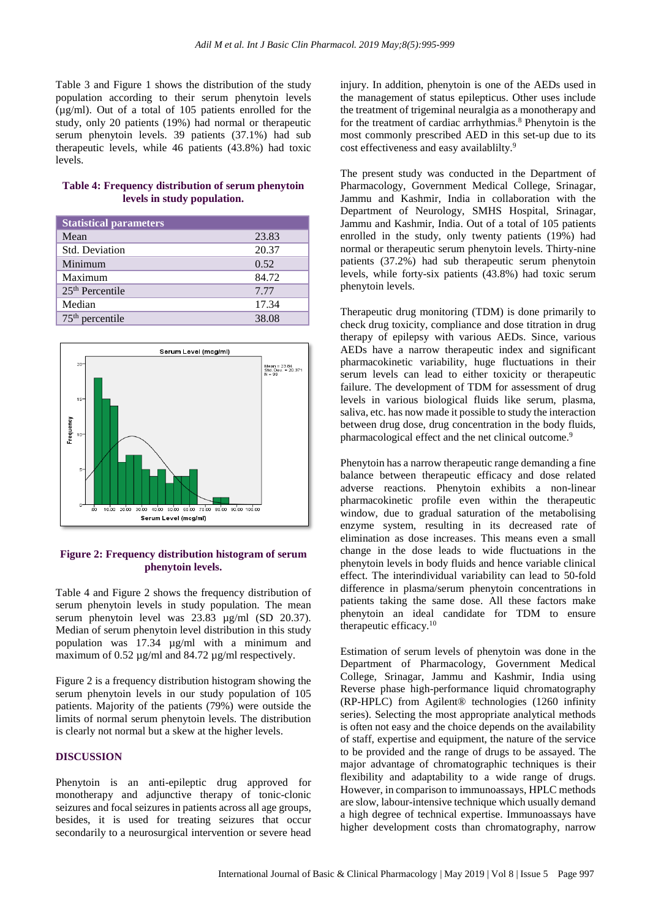Table 3 and Figure 1 shows the distribution of the study population according to their serum phenytoin levels (µg/ml). Out of a total of 105 patients enrolled for the study, only 20 patients (19%) had normal or therapeutic serum phenytoin levels. 39 patients (37.1%) had sub therapeutic levels, while 46 patients (43.8%) had toxic levels.

## **Table 4: Frequency distribution of serum phenytoin levels in study population.**

| <b>Statistical parameters</b> |       |
|-------------------------------|-------|
| Mean                          | 23.83 |
| Std. Deviation                | 20.37 |
| Minimum                       | 0.52  |
| Maximum                       | 84.72 |
| $25th$ Percentile             | 7.77  |
| Median                        | 17.34 |
| $75th$ percentile             | 38.08 |



# **Figure 2: Frequency distribution histogram of serum phenytoin levels.**

Table 4 and Figure 2 shows the frequency distribution of serum phenytoin levels in study population. The mean serum phenytoin level was 23.83 ug/ml (SD 20.37). Median of serum phenytoin level distribution in this study population was 17.34 µg/ml with a minimum and maximum of 0.52  $\mu$ g/ml and 84.72  $\mu$ g/ml respectively.

Figure 2 is a frequency distribution histogram showing the serum phenytoin levels in our study population of 105 patients. Majority of the patients (79%) were outside the limits of normal serum phenytoin levels. The distribution is clearly not normal but a skew at the higher levels.

# **DISCUSSION**

Phenytoin is an anti-epileptic drug approved for monotherapy and adjunctive therapy of tonic-clonic seizures and focal seizures in patients across all age groups, besides, it is used for treating seizures that occur secondarily to a neurosurgical intervention or severe head injury. In addition, phenytoin is one of the AEDs used in the management of status epilepticus. Other uses include the treatment of trigeminal neuralgia as a monotherapy and for the treatment of cardiac arrhythmias.<sup>8</sup> Phenytoin is the most commonly prescribed AED in this set-up due to its cost effectiveness and easy availablilty.<sup>9</sup>

The present study was conducted in the Department of Pharmacology, Government Medical College, Srinagar, Jammu and Kashmir, India in collaboration with the Department of Neurology, SMHS Hospital, Srinagar, Jammu and Kashmir, India. Out of a total of 105 patients enrolled in the study, only twenty patients (19%) had normal or therapeutic serum phenytoin levels. Thirty-nine patients (37.2%) had sub therapeutic serum phenytoin levels, while forty-six patients (43.8%) had toxic serum phenytoin levels.

Therapeutic drug monitoring (TDM) is done primarily to check drug toxicity, compliance and dose titration in drug therapy of epilepsy with various AEDs. Since, various AEDs have a narrow therapeutic index and significant pharmacokinetic variability, huge fluctuations in their serum levels can lead to either toxicity or therapeutic failure. The development of TDM for assessment of drug levels in various biological fluids like serum, plasma, saliva, etc. has now made it possible to study the interaction between drug dose, drug concentration in the body fluids, pharmacological effect and the net clinical outcome.<sup>9</sup>

Phenytoin has a narrow therapeutic range demanding a fine balance between therapeutic efficacy and dose related adverse reactions. Phenytoin exhibits a non-linear pharmacokinetic profile even within the therapeutic window, due to gradual saturation of the metabolising enzyme system, resulting in its decreased rate of elimination as dose increases. This means even a small change in the dose leads to wide fluctuations in the phenytoin levels in body fluids and hence variable clinical effect. The interindividual variability can lead to 50-fold difference in plasma/serum phenytoin concentrations in patients taking the same dose. All these factors make phenytoin an ideal candidate for TDM to ensure therapeutic efficacy.<sup>10</sup>

Estimation of serum levels of phenytoin was done in the Department of Pharmacology, Government Medical College, Srinagar, Jammu and Kashmir, India using Reverse phase high-performance liquid chromatography (RP-HPLC) from Agilent® technologies (1260 infinity series). Selecting the most appropriate analytical methods is often not easy and the choice depends on the availability of staff, expertise and equipment, the nature of the service to be provided and the range of drugs to be assayed. The major advantage of chromatographic techniques is their flexibility and adaptability to a wide range of drugs. However, in comparison to immunoassays, HPLC methods are slow, labour-intensive technique which usually demand a high degree of technical expertise. Immunoassays have higher development costs than chromatography, narrow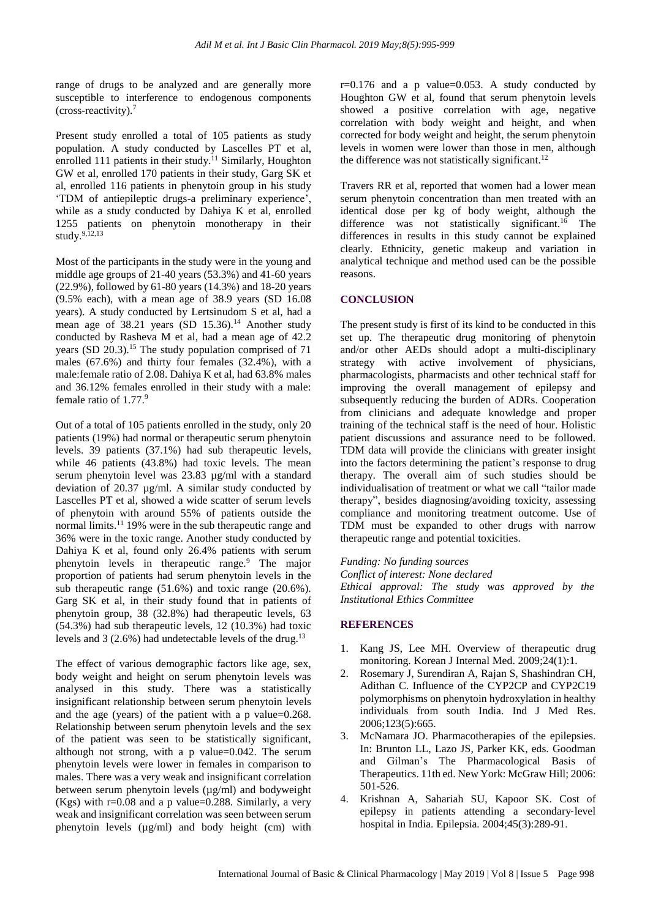range of drugs to be analyzed and are generally more susceptible to interference to endogenous components  $(cross-reactivity)<sup>7</sup>$ 

Present study enrolled a total of 105 patients as study population. A study conducted by Lascelles PT et al, enrolled 111 patients in their study.<sup>11</sup> Similarly, Houghton GW et al, enrolled 170 patients in their study, Garg SK et al, enrolled 116 patients in phenytoin group in his study 'TDM of antiepileptic drugs-a preliminary experience', while as a study conducted by Dahiya K et al, enrolled 1255 patients on phenytoin monotherapy in their study. $9,12,13$ 

Most of the participants in the study were in the young and middle age groups of 21-40 years (53.3%) and 41-60 years (22.9%), followed by 61-80 years (14.3%) and 18-20 years (9.5% each), with a mean age of 38.9 years (SD 16.08 years). A study conducted by Lertsinudom S et al, had a mean age of  $38.21$  years (SD 15.36).<sup>14</sup> Another study conducted by Rasheva M et al, had a mean age of 42.2 years (SD 20.3).<sup>15</sup> The study population comprised of 71 males (67.6%) and thirty four females (32.4%), with a male:female ratio of 2.08. Dahiya K et al, had 63.8% males and 36.12% females enrolled in their study with a male: female ratio of  $1.77<sup>9</sup>$ 

Out of a total of 105 patients enrolled in the study, only 20 patients (19%) had normal or therapeutic serum phenytoin levels. 39 patients (37.1%) had sub therapeutic levels, while 46 patients (43.8%) had toxic levels. The mean serum phenytoin level was 23.83 µg/ml with a standard deviation of 20.37 µg/ml. A similar study conducted by Lascelles PT et al, showed a wide scatter of serum levels of phenytoin with around 55% of patients outside the normal limits.<sup>11</sup> 19% were in the sub therapeutic range and 36% were in the toxic range. Another study conducted by Dahiya K et al, found only 26.4% patients with serum phenytoin levels in therapeutic range.<sup>9</sup> The major proportion of patients had serum phenytoin levels in the sub therapeutic range (51.6%) and toxic range (20.6%). Garg SK et al, in their study found that in patients of phenytoin group, 38 (32.8%) had therapeutic levels, 63 (54.3%) had sub therapeutic levels, 12 (10.3%) had toxic levels and  $3(2.6%)$  had undetectable levels of the drug.<sup>13</sup>

The effect of various demographic factors like age, sex, body weight and height on serum phenytoin levels was analysed in this study. There was a statistically insignificant relationship between serum phenytoin levels and the age (years) of the patient with a p value=0.268. Relationship between serum phenytoin levels and the sex of the patient was seen to be statistically significant, although not strong, with a p value=0.042. The serum phenytoin levels were lower in females in comparison to males. There was a very weak and insignificant correlation between serum phenytoin levels (µg/ml) and bodyweight (Kgs) with  $r=0.08$  and a p value=0.288. Similarly, a very weak and insignificant correlation was seen between serum phenytoin levels (µg/ml) and body height (cm) with

 $r=0.176$  and a p value=0.053. A study conducted by Houghton GW et al, found that serum phenytoin levels showed a positive correlation with age, negative correlation with body weight and height, and when corrected for body weight and height, the serum phenytoin levels in women were lower than those in men, although the difference was not statistically significant.<sup>12</sup>

Travers RR et al, reported that women had a lower mean serum phenytoin concentration than men treated with an identical dose per kg of body weight, although the difference was not statistically significant.<sup>16</sup> The differences in results in this study cannot be explained clearly. Ethnicity, genetic makeup and variation in analytical technique and method used can be the possible reasons.

# **CONCLUSION**

The present study is first of its kind to be conducted in this set up. The therapeutic drug monitoring of phenytoin and/or other AEDs should adopt a multi-disciplinary strategy with active involvement of physicians, pharmacologists, pharmacists and other technical staff for improving the overall management of epilepsy and subsequently reducing the burden of ADRs. Cooperation from clinicians and adequate knowledge and proper training of the technical staff is the need of hour. Holistic patient discussions and assurance need to be followed. TDM data will provide the clinicians with greater insight into the factors determining the patient's response to drug therapy. The overall aim of such studies should be individualisation of treatment or what we call "tailor made therapy", besides diagnosing/avoiding toxicity, assessing compliance and monitoring treatment outcome. Use of TDM must be expanded to other drugs with narrow therapeutic range and potential toxicities.

*Funding: No funding sources Conflict of interest: None declared Ethical approval: The study was approved by the Institutional Ethics Committee*

## **REFERENCES**

- 1. Kang JS, Lee MH. Overview of therapeutic drug monitoring. Korean J Internal Med. 2009;24(1):1.
- 2. Rosemary J, Surendiran A, Rajan S, Shashindran CH, Adithan C. Influence of the CYP2CP and CYP2C19 polymorphisms on phenytoin hydroxylation in healthy individuals from south India. Ind J Med Res. 2006;123(5):665.
- 3. McNamara JO. Pharmacotherapies of the epilepsies. In: Brunton LL, Lazo JS, Parker KK, eds. Goodman and Gilman's The Pharmacological Basis of Therapeutics. 11th ed. New York: McGraw Hill; 2006: 501-526.
- 4. Krishnan A, Sahariah SU, Kapoor SK. Cost of epilepsy in patients attending a secondary‐level hospital in India. Epilepsia. 2004;45(3):289-91.